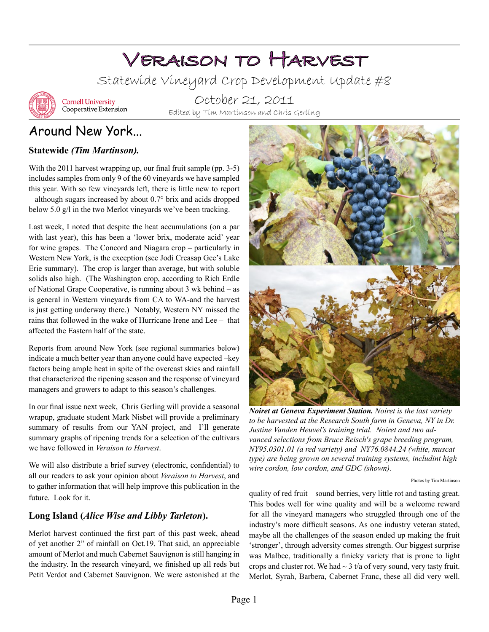# Veraison to Harvest

Statewide Vineyard Crop Development Update #8



**Cornell University** Cooperative Extension

October 21, 2011 Edited by Tim Martinson and Chris Gerling

# Around New York...

#### **Statewide** *(Tim Martinson).*

With the 2011 harvest wrapping up, our final fruit sample (pp. 3-5) includes samples from only 9 of the 60 vineyards we have sampled this year. With so few vineyards left, there is little new to report – although sugars increased by about 0.7° brix and acids dropped below 5.0 g/l in the two Merlot vineyards we've been tracking.

Last week, I noted that despite the heat accumulations (on a par with last year), this has been a 'lower brix, moderate acid' year for wine grapes. The Concord and Niagara crop – particularly in Western New York, is the exception (see Jodi Creasap Gee's Lake Erie summary). The crop is larger than average, but with soluble solids also high. (The Washington crop, according to Rich Erdle of National Grape Cooperative, is running about 3 wk behind – as is general in Western vineyards from CA to WA-and the harvest is just getting underway there.) Notably, Western NY missed the rains that followed in the wake of Hurricane Irene and Lee – that affected the Eastern half of the state.

Reports from around New York (see regional summaries below) indicate a much better year than anyone could have expected –key factors being ample heat in spite of the overcast skies and rainfall that characterized the ripening season and the response of vineyard managers and growers to adapt to this season's challenges.

In our final issue next week, Chris Gerling will provide a seasonal wrapup, graduate student Mark Nisbet will provide a preliminary summary of results from our YAN project, and I'll generate summary graphs of ripening trends for a selection of the cultivars we have followed in *Veraison to Harvest*.

We will also distribute a brief survey (electronic, confidential) to all our readers to ask your opinion about *Veraison to Harvest*, and to gather information that will help improve this publication in the future. Look for it.

#### **Long Island (***Alice Wise and Libby Tarleton***).**

Merlot harvest continued the first part of this past week, ahead of yet another 2" of rainfall on Oct.19. That said, an appreciable amount of Merlot and much Cabernet Sauvignon is still hanging in the industry. In the research vineyard, we finished up all reds but Petit Verdot and Cabernet Sauvignon. We were astonished at the



*Noiret at Geneva Experiment Station. Noiret is the last variety*  to be harvested at the Research South farm in Geneva, NY in Dr. *Justine Vanden Heuvel's training trial. Noiret and two advanced selections from Bruce Reisch's grape breeding program, NY95.0301.01 (a red variety) and NY76.0844.24 (white, muscat type) are being grown on several training systems, includint high wire cordon, low cordon, and GDC (shown).*

Photos by Tim Martinson

quality of red fruit – sound berries, very little rot and tasting great. This bodes well for wine quality and will be a welcome reward for all the vineyard managers who struggled through one of the industry's more difficult seasons. As one industry veteran stated, maybe all the challenges of the season ended up making the fruit 'stronger', through adversity comes strength. Our biggest surprise was Malbec, traditionally a finicky variety that is prone to light crops and cluster rot. We had  $\sim$  3 t/a of very sound, very tasty fruit. Merlot, Syrah, Barbera, Cabernet Franc, these all did very well.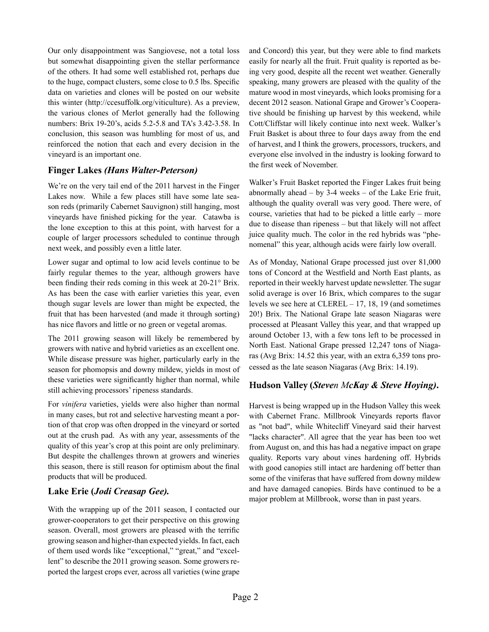Our only disappointment was Sangiovese, not a total loss but somewhat disappointing given the stellar performance of the others. It had some well established rot, perhaps due to the huge, compact clusters, some close to 0.5 lbs. Specific data on varieties and clones will be posted on our website this winter (http://ccesuffolk.org/viticulture). As a preview, the various clones of Merlot generally had the following numbers: Brix 19-20's, acids 5.2-5.8 and TA's 3.42-3.58. In conclusion, this season was humbling for most of us, and reinforced the notion that each and every decision in the vineyard is an important one.

#### **Finger Lakes** *(Hans Walter-Peterson)*

We're on the very tail end of the 2011 harvest in the Finger Lakes now. While a few places still have some late season reds (primarily Cabernet Sauvignon) still hanging, most vineyards have finished picking for the year. Catawba is the lone exception to this at this point, with harvest for a couple of larger processors scheduled to continue through next week, and possibly even a little later.

Lower sugar and optimal to low acid levels continue to be fairly regular themes to the year, although growers have been finding their reds coming in this week at 20-21° Brix. As has been the case with earlier varieties this year, even though sugar levels are lower than might be expected, the fruit that has been harvested (and made it through sorting) has nice flavors and little or no green or vegetal aromas.

The 2011 growing season will likely be remembered by growers with native and hybrid varieties as an excellent one. While disease pressure was higher, particularly early in the season for phomopsis and downy mildew, yields in most of these varieties were significantly higher than normal, while still achieving processors' ripeness standards.

For *vinifera* varieties, yields were also higher than normal in many cases, but rot and selective harvesting meant a portion of that crop was often dropped in the vineyard or sorted out at the crush pad. As with any year, assessments of the quality of this year's crop at this point are only preliminary. But despite the challenges thrown at growers and wineries this season, there is still reason for optimism about the final products that will be produced.

#### **Lake Erie (***Jodi Creasap Gee).*

With the wrapping up of the 2011 season, I contacted our grower-cooperators to get their perspective on this growing season. Overall, most growers are pleased with the terrific growing season and higher-than expected yields. In fact, each of them used words like "exceptional," "great," and "excellent" to describe the 2011 growing season. Some growers reported the largest crops ever, across all varieties (wine grape and Concord) this year, but they were able to find markets easily for nearly all the fruit. Fruit quality is reported as being very good, despite all the recent wet weather. Generally speaking, many growers are pleased with the quality of the mature wood in most vineyards, which looks promising for a decent 2012 season. National Grape and Grower's Cooperative should be finishing up harvest by this weekend, while Cott/Cliffstar will likely continue into next week. Walker's Fruit Basket is about three to four days away from the end of harvest, and I think the growers, processors, truckers, and everyone else involved in the industry is looking forward to the first week of November.

Walker's Fruit Basket reported the Finger Lakes fruit being abnormally ahead  $-$  by 3-4 weeks  $-$  of the Lake Erie fruit, although the quality overall was very good. There were, of course, varieties that had to be picked a little early – more due to disease than ripeness – but that likely will not affect juice quality much. The color in the red hybrids was "phenomenal" this year, although acids were fairly low overall.

As of Monday, National Grape processed just over 81,000 tons of Concord at the Westfield and North East plants, as reported in their weekly harvest update newsletter. The sugar solid average is over 16 Brix, which compares to the sugar levels we see here at CLEREL – 17, 18, 19 (and sometimes 20!) Brix. The National Grape late season Niagaras were processed at Pleasant Valley this year, and that wrapped up around October 13, with a few tons left to be processed in North East. National Grape pressed 12,247 tons of Niagaras (Avg Brix: 14.52 this year, with an extra 6,359 tons processed as the late season Niagaras (Avg Brix: 14.19).

#### **Hudson Valley (***Steven McKay & Steve Hoying)***.**

Harvest is being wrapped up in the Hudson Valley this week with Cabernet Franc. Millbrook Vineyards reports flavor as "not bad", while Whitecliff Vineyard said their harvest "lacks character". All agree that the year has been too wet from August on, and this has had a negative impact on grape quality. Reports vary about vines hardening off. Hybrids with good canopies still intact are hardening off better than some of the viniferas that have suffered from downy mildew and have damaged canopies. Birds have continued to be a major problem at Millbrook, worse than in past years.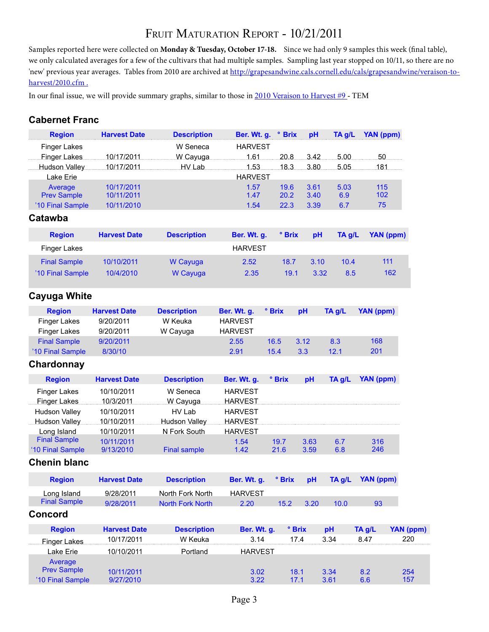# FRUIT MATURATION REPORT - 10/21/2011

Samples reported here were collected on **Monday & Tuesday, October 17-18.** Since we had only 9 samples this week (final table), we only calculated averages for a few of the cultivars that had multiple samples. Sampling last year stopped on 10/11, so there are no 'new' previous year averages. Tables from 2010 are archived at http://grapesandwine.cals.cornell.edu/cals/grapesandwine/veraison-toharvest/2010.cfm .

In our final issue, we will provide summary graphs, similar to those in [2010 Veraison to Harvest #9](http://www.cals.cornell.edu/cals/grapesandwine/veraison-to-harvest/upload/Veraison-to-Harvest-2010-9.pdf) - TEM

#### **Cabernet Franc**

| <b>Region</b>            | <b>Harvest Date</b> | <b>Description</b>      | Ber. Wt. g. ° Brix |              |               | pH   | TA g/L | YAN (ppm)        |                  |
|--------------------------|---------------------|-------------------------|--------------------|--------------|---------------|------|--------|------------------|------------------|
| <b>Finger Lakes</b>      |                     | W Seneca                | <b>HARVEST</b>     |              |               |      |        |                  |                  |
| Finger Lakes             | 10/17/2011          | W Cayuga                | 1.61               |              | 20.8<br>3.42. |      |        | 5.00<br>50       |                  |
| <b>Hudson Valley</b>     | 10/17/2011          | HV Lab                  | 1.53               |              | 18.3<br>3.80  |      | 5.05   | 181              |                  |
| Lake Erie                |                     |                         | <b>HARVEST</b>     |              |               |      |        |                  |                  |
| Average                  | 10/17/2011          |                         | 1.57               |              | 19.6          | 3.61 | 5.03   | 115              |                  |
| <b>Prev Sample</b>       | 10/11/2011          |                         | 1.47               |              | 20.2          | 3.40 | 6.9    | 102              |                  |
| '10 Final Sample         | 10/11/2010          |                         | 1.54               |              | 22.3          | 3.39 | 6.7    | 75               |                  |
| Catawba                  |                     |                         |                    |              |               |      |        |                  |                  |
| <b>Region</b>            | <b>Harvest Date</b> | <b>Description</b>      | Ber. Wt. g.        |              | ° Brix        | pH   | TA g/L | <b>YAN (ppm)</b> |                  |
| <b>Finger Lakes</b>      |                     |                         | <b>HARVEST</b>     |              |               |      |        |                  |                  |
| <b>Final Sample</b>      | 10/10/2011          | W Cayuga                | 2.52               | 18.7         |               | 3.10 | 10.4   | 111              |                  |
| '10 Final Sample         | 10/4/2010           | W Cayuga                | 2.35               | 19.1         |               | 3.32 | 8.5    |                  | 162              |
|                          |                     |                         |                    |              |               |      |        |                  |                  |
| <b>Cayuga White</b>      |                     |                         |                    |              |               |      |        |                  |                  |
| <b>Region</b>            | <b>Harvest Date</b> | <b>Description</b>      | Ber. Wt. g.        | ° Brix       |               | pH   | TA g/L | YAN (ppm)        |                  |
| <b>Finger Lakes</b>      | 9/20/2011           | W Keuka                 | <b>HARVEST</b>     |              |               |      |        |                  |                  |
| <b>Finger Lakes</b>      | 9/20/2011           | W Cayuga                | <b>HARVEST</b>     |              |               |      |        |                  |                  |
| <b>Final Sample</b>      | 9/20/2011           |                         | 2.55               | 16.5         |               | 3.12 | 8.3    | 168              |                  |
| '10 Final Sample         | 8/30/10             |                         | 2.91               | 15.4         |               | 3.3  | 12.1   | 201              |                  |
|                          |                     |                         |                    |              |               |      |        |                  |                  |
| Chardonnay               |                     |                         |                    |              |               |      |        |                  |                  |
| <b>Region</b>            | <b>Harvest Date</b> | <b>Description</b>      | Ber. Wt. g.        | ° Brix       |               | pH   | TA g/L | YAN (ppm)        |                  |
| <b>Finger Lakes</b>      | 10/10/2011          | W Seneca                | <b>HARVEST</b>     |              |               |      |        |                  |                  |
| Finger Lakes             | 10/3/2011           | W Cayuga                | <b>HARVEST</b>     |              |               |      |        |                  |                  |
| <b>Hudson Valley</b>     | 10/10/2011          | HV Lab                  | <b>HARVEST</b>     |              |               |      |        |                  |                  |
| Hudson Valley 10/10/2011 |                     | <b>Hudson Valley</b>    | <b>HARVEST</b>     |              |               |      |        |                  |                  |
| Long Island              | 10/10/2011          | N Fork South            | <b>HARVEST</b>     |              |               |      |        |                  |                  |
| <b>Final Sample</b>      | 10/11/2011          |                         | 1.54               | 19.7         |               | 3.63 | 6.7    | 316              |                  |
| '10 Final Sample         | 9/13/2010           | <b>Final sample</b>     | 1.42               | 21.6         |               | 3.59 | 6.8    | 246              |                  |
| <b>Chenin blanc</b>      |                     |                         |                    |              |               |      |        |                  |                  |
| <b>Region</b>            | <b>Harvest Date</b> | <b>Description</b>      | Ber. Wt. g.        |              | ° Brix        | pH   | TA g/L | <b>YAN (ppm)</b> |                  |
| Long Island              | 9/28/2011           | North Fork North        | <b>HARVEST</b>     |              |               |      |        |                  |                  |
| <b>Final Sample</b>      | 9/28/2011           | <b>North Fork North</b> | 2.20               | 15.2<br>3.20 |               | 10.0 | 93     |                  |                  |
| <b>Concord</b>           |                     |                         |                    |              |               |      |        |                  |                  |
| <b>Region</b>            | <b>Harvest Date</b> | <b>Description</b>      | Ber. Wt. g.        |              | ° Brix        |      | pH     | TA g/L           | <b>YAN (ppm)</b> |
| Finger Lakes             | 10/17/2011          | W Keuka                 | 3.14               |              | 17.4          |      | 3.34   | 8.47             | 220              |
| Lake Erie                | 10/10/2011          | Portland                | <b>HARVEST</b>     |              |               |      |        |                  |                  |
| Average                  |                     |                         |                    |              |               |      |        |                  |                  |
| <b>Prev Sample</b>       | 10/11/2011          |                         | 3.02               |              | 18.1          |      | 3.34   | 8.2              | 254              |
| '10 Final Sample         | 9/27/2010           |                         | 3.22               |              | 17.1          |      | 3.61   | 6.6              | 157              |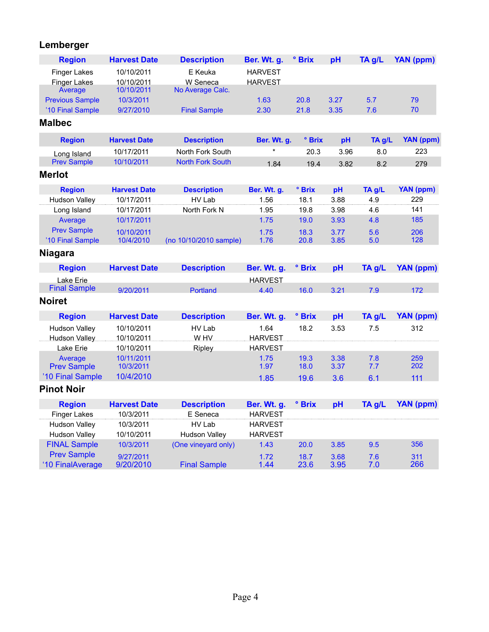### **Lemberger**

| <b>Region</b>                          | <b>Harvest Date</b>    | <b>Description</b>      | Ber. Wt. g.    | ° Brix       | pH           | TA g/L     | <b>YAN (ppm)</b> |
|----------------------------------------|------------------------|-------------------------|----------------|--------------|--------------|------------|------------------|
| <b>Finger Lakes</b>                    | 10/10/2011             | E Keuka                 | <b>HARVEST</b> |              |              |            |                  |
| <b>Finger Lakes</b>                    | 10/10/2011             | W Seneca                | <b>HARVEST</b> |              |              |            |                  |
| Average                                | 10/10/2011             | No Average Calc.        |                |              |              |            |                  |
| <b>Previous Sample</b>                 | 10/3/2011              |                         | 1.63<br>2.30   | 20.8<br>21.8 | 3.27<br>3.35 | 5.7<br>7.6 | 79<br>70         |
| '10 Final Sample<br><b>Malbec</b>      | 9/27/2010              | <b>Final Sample</b>     |                |              |              |            |                  |
|                                        |                        |                         |                |              |              |            |                  |
| <b>Region</b>                          | <b>Harvest Date</b>    | <b>Description</b>      | Ber. Wt. g.    | ° Brix       | pH           | TA g/L     | <b>YAN</b> (ppm) |
| Long Island                            | 10/17/2011             | North Fork South        |                | 20.3         | 3.96         | 8.0        | 223              |
| <b>Prev Sample</b>                     | 10/10/2011             | <b>North Fork South</b> | 1.84           | 19.4         | 3.82         | 8.2        | 279              |
| <b>Merlot</b>                          |                        |                         |                |              |              |            |                  |
| <b>Region</b>                          | <b>Harvest Date</b>    | <b>Description</b>      | Ber. Wt. g.    | ° Brix       | pH           | TA g/L     | <b>YAN (ppm)</b> |
| <b>Hudson Valley</b>                   | 10/17/2011             | HV Lab                  | 1.56           | 18.1         | 3.88         | 4.9        | 229              |
| Long Island                            | 10/17/2011             | North Fork N            | 1.95           | 19.8         | 3.98         | 4.6        | 141              |
| Average                                | 10/17/2011             |                         | 1.75           | 19.0         | 3.93         | 4.8        | 185              |
| <b>Prev Sample</b>                     | 10/10/2011             |                         | 1.75           | 18.3         | 3.77         | 5.6        | 206              |
| '10 Final Sample                       | 10/4/2010              | (no 10/10/2010 sample)  | 1.76           | 20.8         | 3.85         | 5.0        | 128              |
| <b>Niagara</b>                         |                        |                         |                |              |              |            |                  |
| <b>Region</b>                          | <b>Harvest Date</b>    | <b>Description</b>      | Ber. Wt. g.    | ° Brix       | pH           | TA g/L     | <b>YAN (ppm)</b> |
| Lake Erie                              |                        |                         | <b>HARVEST</b> |              |              |            |                  |
| <b>Final Sample</b>                    | 9/20/2011              | <b>Portland</b>         | 4.40           | 16.0         | 3.21         | 7.9        | 172              |
| <b>Noiret</b>                          |                        |                         |                |              |              |            |                  |
| <b>Region</b>                          | <b>Harvest Date</b>    | <b>Description</b>      | Ber. Wt. g.    | ° Brix       | pH           | TA g/L     | <b>YAN (ppm)</b> |
| <b>Hudson Valley</b>                   | 10/10/2011             | HV Lab                  | 1.64           | 18.2         | 3.53         | 7.5        | 312              |
| Hudson Valley                          | 10/10/2011             | W HV                    | <b>HARVEST</b> |              |              |            |                  |
| Lake Erie                              | 10/10/2011             | Ripley                  | <b>HARVEST</b> |              |              |            |                  |
| Average                                | 10/11/2011             |                         | 1.75           | 19.3         | 3.38         | 7.8        | 259<br>202       |
| <b>Prev Sample</b><br>'10 Final Sample | 10/3/2011<br>10/4/2010 |                         | 1.97           | 18.0         | 3.37         | 7.7        |                  |
|                                        |                        |                         | 1.85           | 19.6         | 3.6          | 6.1        | 111              |
| <b>Pinot Noir</b>                      |                        |                         |                |              |              |            |                  |
| <b>Region</b>                          | <b>Harvest Date</b>    | <b>Description</b>      | Ber. Wt. g.    | ° Brix       | pH           | TA g/L     | <b>YAN (ppm)</b> |
| <b>Finger Lakes</b>                    | 10/3/2011              | E Seneca                | <b>HARVEST</b> |              |              |            |                  |
| Hudson Valley                          | 10/3/2011              | HV Lab                  | <b>HARVEST</b> |              |              |            |                  |
| <b>Hudson Valley</b>                   | 10/10/2011             | <b>Hudson Valley</b>    | <b>HARVEST</b> |              |              |            |                  |
| <b>FINAL Sample</b>                    | 10/3/2011              | (One vineyard only)     | 1.43           | 20.0         | 3.85         | 9.5        | 356              |
| <b>Prev Sample</b>                     | 9/27/2011              |                         | 1.72           | 18.7         | 3.68         | 7.6        | 311              |
| '10 FinalAverage                       | 9/20/2010              | <b>Final Sample</b>     | 1.44           | 23.6         | 3.95         | 7.0        | 266              |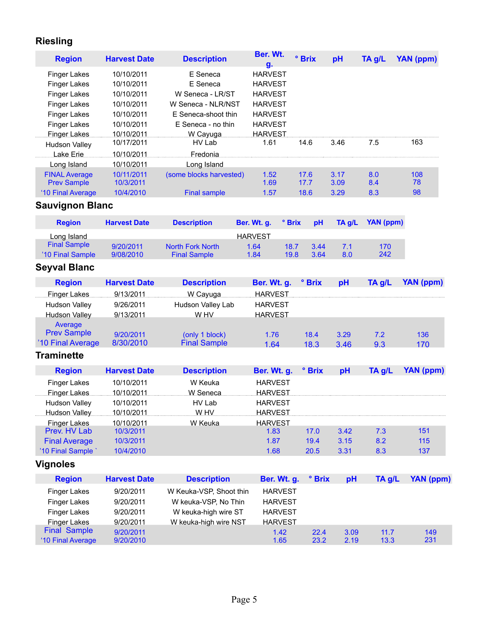## **Riesling**

| <b>Region</b>                                                                                                            | <b>Harvest Date</b>                                                              | <b>Description</b>                                                                                          | Ber. Wt.<br>g.                                                                                           |              | ° Brix       | pH           | TA g/L       | <b>YAN (ppm)</b> |
|--------------------------------------------------------------------------------------------------------------------------|----------------------------------------------------------------------------------|-------------------------------------------------------------------------------------------------------------|----------------------------------------------------------------------------------------------------------|--------------|--------------|--------------|--------------|------------------|
| Finger Lakes<br><b>Finger Lakes</b><br><b>Finger Lakes</b><br><b>Finger Lakes</b><br><b>Finger Lakes</b><br>Finger Lakes | 10/10/2011<br>10/10/2011<br>10/10/2011<br>10/10/2011<br>10/10/2011<br>10/10/2011 | E Seneca<br>E Seneca<br>W Seneca - LR/ST<br>W Seneca - NLR/NST<br>E Seneca-shoot thin<br>E Seneca - no thin | <b>HARVEST</b><br><b>HARVEST</b><br><b>HARVEST</b><br><b>HARVEST</b><br><b>HARVEST</b><br><b>HARVEST</b> |              |              |              |              |                  |
| <b>Finger Lakes</b><br><b>Hudson Valley</b>                                                                              | 10/10/2011<br>10/17/2011                                                         | W Cayuga<br>HV Lab                                                                                          | <b>HARVEST</b><br>1.61                                                                                   |              | 14.6         | 3.46         | 7.5          | 163              |
| Lake Erie                                                                                                                | 10/10/2011                                                                       | Fredonia                                                                                                    |                                                                                                          |              |              |              |              |                  |
| Long Island                                                                                                              | 10/10/2011                                                                       | Long Island                                                                                                 |                                                                                                          |              |              |              |              |                  |
| <b>FINAL Average</b><br><b>Prev Sample</b>                                                                               | 10/11/2011<br>10/3/2011                                                          | (some blocks harvested)                                                                                     | 1.52<br>1.69                                                                                             |              | 17.6<br>17.7 | 3.17<br>3.09 | 8.0<br>8.4   | 108<br>78        |
| '10 Final Average                                                                                                        | 10/4/2010                                                                        | <b>Final sample</b>                                                                                         | 1.57                                                                                                     |              | 18.6         | 3.29         | 8.3          | 98               |
| <b>Sauvignon Blanc</b>                                                                                                   |                                                                                  |                                                                                                             |                                                                                                          |              |              |              |              |                  |
| <b>Region</b>                                                                                                            | <b>Harvest Date</b>                                                              | <b>Description</b>                                                                                          | Ber. Wt. g.                                                                                              | ° Brix       | pH           | TA g/L       | YAN (ppm)    |                  |
| Long Island                                                                                                              |                                                                                  |                                                                                                             | <b>HARVEST</b>                                                                                           |              |              |              |              |                  |
| <b>Final Sample</b><br>'10 Final Sample                                                                                  | 9/20/2011<br>9/08/2010                                                           | <b>North Fork North</b><br><b>Final Sample</b>                                                              | 1.64<br>1.84                                                                                             | 18.7<br>19.8 | 3.44<br>3.64 | 7.1<br>8.0   | 170<br>242   |                  |
| <b>Seyval Blanc</b>                                                                                                      |                                                                                  |                                                                                                             |                                                                                                          |              |              |              |              |                  |
| <b>Region</b>                                                                                                            | <b>Harvest Date</b>                                                              | <b>Description</b>                                                                                          | Ber. Wt. g.                                                                                              |              | ° Brix       | pH           | TA g/L       | <b>YAN (ppm)</b> |
| <b>Finger Lakes</b><br><b>Hudson Valley</b><br><b>Hudson Valley</b><br>Average                                           | 9/13/2011<br>9/26/2011<br>9/13/2011                                              | W Cayuga<br>Hudson Valley Lab<br>W HV                                                                       | <b>HARVEST</b><br><b>HARVEST</b><br><b>HARVEST</b>                                                       |              |              |              |              |                  |
| <b>Prev Sample</b><br>'10 Final Average                                                                                  | 9/20/2011<br>8/30/2010                                                           | (only 1 block)<br><b>Final Sample</b>                                                                       | 1.76<br>1.64                                                                                             |              | 18.4<br>18.3 | 3.29<br>3.46 | 7.2<br>9.3   | 136<br>170       |
| <b>Traminette</b>                                                                                                        |                                                                                  |                                                                                                             |                                                                                                          |              |              |              |              |                  |
| <b>Region</b>                                                                                                            | <b>Harvest Date</b>                                                              | <b>Description</b>                                                                                          | Ber. Wt. g.                                                                                              |              | ° Brix       | pH           | TA g/L       | <b>YAN (ppm)</b> |
| <b>Finger Lakes</b><br>Finger Lakes<br><b>Hudson Valley</b><br><b>Hudson Valley</b><br>Finger Lakes<br>Prev. HV Lab      | 10/10/2011<br>10/10/2011<br>10/10/2011<br>10/10/2011<br>10/10/2011<br>10/3/2011  | W Keuka<br>W Seneca<br>HV Lab<br>W.HV<br>W Keuka                                                            | <b>HARVEST</b><br><b>HARVEST</b><br><b>HARVEST</b><br><b>HARVEST</b><br><b>HARVEST</b><br>1.83           |              | 17.0         | 3.42         | 7.3          | 151              |
| <b>Final Average</b>                                                                                                     | 10/3/2011                                                                        |                                                                                                             | 1.87                                                                                                     |              | 19.4         | 3.15         | 8.2          | 115              |
| '10 Final Sample'                                                                                                        | 10/4/2010                                                                        |                                                                                                             | 1.68                                                                                                     |              | 20.5         | 3.31         | 8.3          | 137              |
| <b>Vignoles</b>                                                                                                          |                                                                                  |                                                                                                             |                                                                                                          |              |              |              |              |                  |
| <b>Region</b>                                                                                                            | <b>Harvest Date</b>                                                              | <b>Description</b>                                                                                          | Ber. Wt. g.                                                                                              |              | ° Brix       | pH           | TA g/L       | <b>YAN (ppm)</b> |
| Finger Lakes                                                                                                             | 9/20/2011                                                                        | W Keuka-VSP, Shoot thin                                                                                     | <b>HARVEST</b>                                                                                           |              |              |              |              |                  |
| <b>Finger Lakes</b>                                                                                                      | 9/20/2011                                                                        | W keuka-VSP, No Thin                                                                                        | <b>HARVEST</b>                                                                                           |              |              |              |              |                  |
| <b>Finger Lakes</b>                                                                                                      | 9/20/2011                                                                        | W keuka-high wire ST                                                                                        | <b>HARVEST</b>                                                                                           |              |              |              |              |                  |
| <b>Finger Lakes</b>                                                                                                      | 9/20/2011                                                                        | W keuka-high wire NST                                                                                       | <b>HARVEST</b>                                                                                           |              |              |              |              |                  |
| <b>Final Sample</b><br>'10 Final Average                                                                                 | 9/20/2011<br>9/20/2010                                                           |                                                                                                             | 1.42<br>1.65                                                                                             |              | 22.4<br>23.2 | 3.09<br>2.19 | 11.7<br>13.3 | 149<br>231       |